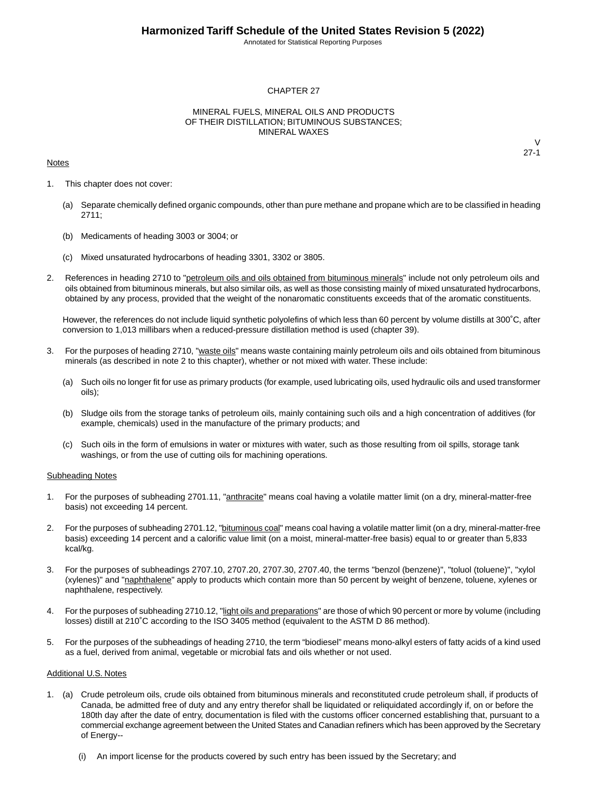Annotated for Statistical Reporting Purposes

#### CHAPTER 27

#### MINERAL FUELS, MINERAL OILS AND PRODUCTS OF THEIR DISTILLATION; BITUMINOUS SUBSTANCES; MINERAL WAXES

#### **Notes**

 $\vee$ 27-1

- 1. This chapter does not cover:
	- (a) Separate chemically defined organic compounds, other than pure methane and propane which are to be classified in heading 2711;
	- (b) Medicaments of heading 3003 or 3004; or
	- (c) Mixed unsaturated hydrocarbons of heading 3301, 3302 or 3805.
- 2. References in heading 2710 to "petroleum oils and oils obtained from bituminous minerals" include not only petroleum oils and oils obtained from bituminous minerals, but also similar oils, as well as those consisting mainly of mixed unsaturated hydrocarbons, obtained by any process, provided that the weight of the nonaromatic constituents exceeds that of the aromatic constituents.

However, the references do not include liquid synthetic polyolefins of which less than 60 percent by volume distills at 300˚C, after conversion to 1,013 millibars when a reduced-pressure distillation method is used (chapter 39).

- 3. For the purposes of heading 2710, "waste oils" means waste containing mainly petroleum oils and oils obtained from bituminous minerals (as described in note 2 to this chapter), whether or not mixed with water. These include:
	- (a) Such oils no longer fit for use as primary products (for example, used lubricating oils, used hydraulic oils and used transformer oils);
	- (b) Sludge oils from the storage tanks of petroleum oils, mainly containing such oils and a high concentration of additives (for example, chemicals) used in the manufacture of the primary products; and
	- (c) Such oils in the form of emulsions in water or mixtures with water, such as those resulting from oil spills, storage tank washings, or from the use of cutting oils for machining operations.

#### Subheading Notes

- 1. For the purposes of subheading 2701.11, "anthracite" means coal having a volatile matter limit (on a dry, mineral-matter-free basis) not exceeding 14 percent.
- 2. For the purposes of subheading 2701.12, "bituminous coal" means coal having a volatile matter limit (on a dry, mineral-matter-free basis) exceeding 14 percent and a calorific value limit (on a moist, mineral-matter-free basis) equal to or greater than 5,833 kcal/kg.
- 3. For the purposes of subheadings 2707.10, 2707.20, 2707.30, 2707.40, the terms "benzol (benzene)", "toluol (toluene)", "xylol (xylenes)" and "naphthalene" apply to products which contain more than 50 percent by weight of benzene, toluene, xylenes or naphthalene, respectively.
- 4. For the purposes of subheading 2710.12, "light oils and preparations" are those of which 90 percent or more by volume (including losses) distill at 210˚C according to the ISO 3405 method (equivalent to the ASTM D 86 method).
- 5. For the purposes of the subheadings of heading 2710, the term "biodiesel" means mono-alkyl esters of fatty acids of a kind used as a fuel, derived from animal, vegetable or microbial fats and oils whether or not used.

#### Additional U.S. Notes

- 1. (a) Crude petroleum oils, crude oils obtained from bituminous minerals and reconstituted crude petroleum shall, if products of Canada, be admitted free of duty and any entry therefor shall be liquidated or reliquidated accordingly if, on or before the 180th day after the date of entry, documentation is filed with the customs officer concerned establishing that, pursuant to a commercial exchange agreement between the United States and Canadian refiners which has been approved by the Secretary of Energy--
	- (i) An import license for the products covered by such entry has been issued by the Secretary; and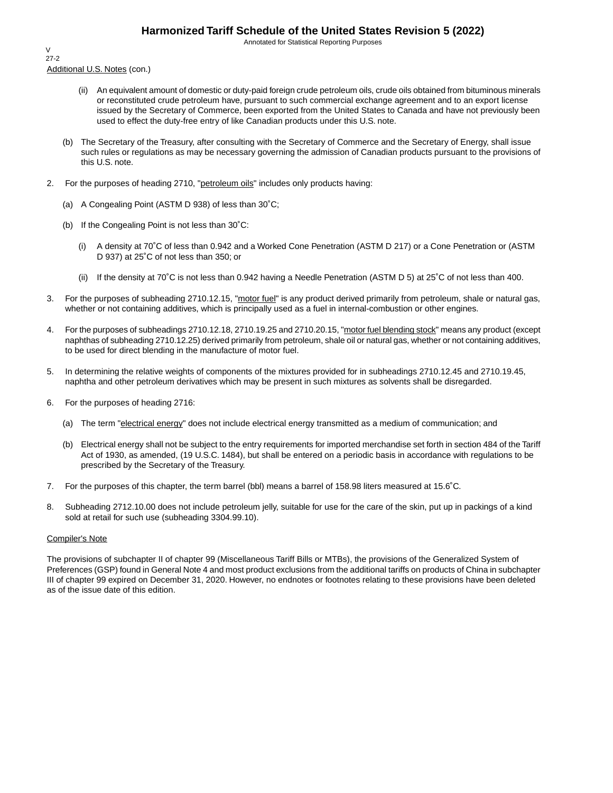Annotated for Statistical Reporting Purposes

Additional U.S. Notes (con.) V 27-2

- (ii) An equivalent amount of domestic or duty-paid foreign crude petroleum oils, crude oils obtained from bituminous minerals or reconstituted crude petroleum have, pursuant to such commercial exchange agreement and to an export license issued by the Secretary of Commerce, been exported from the United States to Canada and have not previously been used to effect the duty-free entry of like Canadian products under this U.S. note.
- (b) The Secretary of the Treasury, after consulting with the Secretary of Commerce and the Secretary of Energy, shall issue such rules or regulations as may be necessary governing the admission of Canadian products pursuant to the provisions of this U.S. note.
- 2. For the purposes of heading 2710, "petroleum oils" includes only products having:
	- (a) A Congealing Point (ASTM D 938) of less than 30˚C;
	- (b) If the Congealing Point is not less than 30˚C:
		- (i) A density at 70˚C of less than 0.942 and a Worked Cone Penetration (ASTM D 217) or a Cone Penetration or (ASTM D 937) at 25˚C of not less than 350; or
		- (ii) If the density at 70˚C is not less than 0.942 having a Needle Penetration (ASTM D 5) at 25˚C of not less than 400.
- 3. For the purposes of subheading 2710.12.15, "motor fuel" is any product derived primarily from petroleum, shale or natural gas, whether or not containing additives, which is principally used as a fuel in internal-combustion or other engines.
- 4. For the purposes of subheadings 2710.12.18, 2710.19.25 and 2710.20.15, "motor fuel blending stock" means any product (except naphthas of subheading 2710.12.25) derived primarily from petroleum, shale oil or natural gas, whether or not containing additives, to be used for direct blending in the manufacture of motor fuel.
- 5. In determining the relative weights of components of the mixtures provided for in subheadings 2710.12.45 and 2710.19.45, naphtha and other petroleum derivatives which may be present in such mixtures as solvents shall be disregarded.
- 6. For the purposes of heading 2716:
	- (a) The term "electrical energy" does not include electrical energy transmitted as a medium of communication; and
	- (b) Electrical energy shall not be subject to the entry requirements for imported merchandise set forth in section 484 of the Tariff Act of 1930, as amended, (19 U.S.C. 1484), but shall be entered on a periodic basis in accordance with regulations to be prescribed by the Secretary of the Treasury.
- 7. For the purposes of this chapter, the term barrel (bbl) means a barrel of 158.98 liters measured at 15.6˚C.
- 8. Subheading 2712.10.00 does not include petroleum jelly, suitable for use for the care of the skin, put up in packings of a kind sold at retail for such use (subheading 3304.99.10).

#### Compiler's Note

The provisions of subchapter II of chapter 99 (Miscellaneous Tariff Bills or MTBs), the provisions of the Generalized System of Preferences (GSP) found in General Note 4 and most product exclusions from the additional tariffs on products of China in subchapter III of chapter 99 expired on December 31, 2020. However, no endnotes or footnotes relating to these provisions have been deleted as of the issue date of this edition.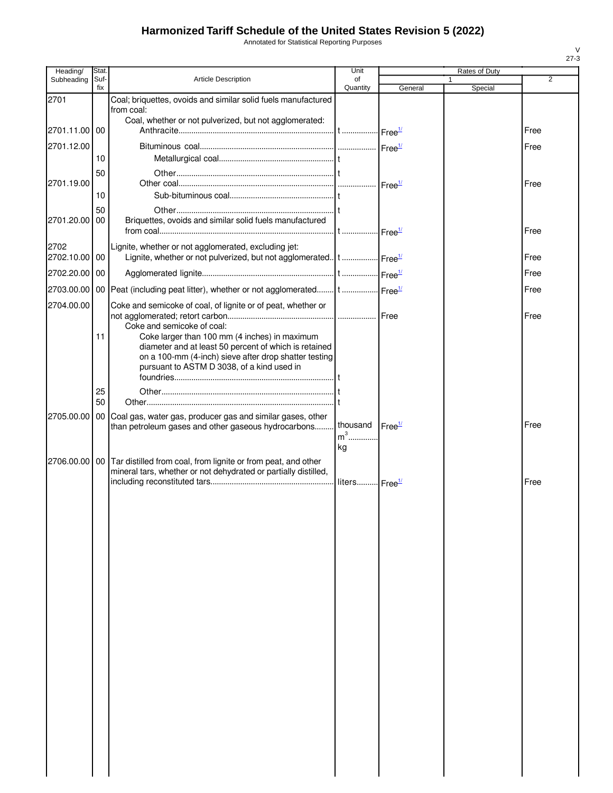Annotated for Statistical Reporting Purposes

| Heading/              | Stat.       |                                                                                                                                        | Unit              |                    | Rates of Duty |                |
|-----------------------|-------------|----------------------------------------------------------------------------------------------------------------------------------------|-------------------|--------------------|---------------|----------------|
| Subheading            | Suf-<br>fix | Article Description                                                                                                                    | of<br>Quantity    | General            | 1<br>Special  | $\overline{2}$ |
| 2701                  |             | Coal; briquettes, ovoids and similar solid fuels manufactured                                                                          |                   |                    |               |                |
|                       |             | from coal:<br>Coal, whether or not pulverized, but not agglomerated:                                                                   |                   |                    |               |                |
| 2701.11.00 00         |             |                                                                                                                                        |                   |                    |               | Free           |
| 2701.12.00            |             |                                                                                                                                        |                   |                    |               | Free           |
|                       | 10          |                                                                                                                                        |                   |                    |               |                |
|                       | 50          |                                                                                                                                        |                   |                    |               |                |
| 2701.19.00            | 10          |                                                                                                                                        |                   |                    |               | Free           |
|                       | 50          |                                                                                                                                        |                   |                    |               |                |
| 2701.20.00 00         |             | Briquettes, ovoids and similar solid fuels manufactured                                                                                |                   |                    |               |                |
|                       |             |                                                                                                                                        |                   |                    |               | Free           |
| 2702<br>2702.10.00 00 |             | Lignite, whether or not agglomerated, excluding jet:<br>Lignite, whether or not pulverized, but not agglomerated t  Free <sup>14</sup> |                   |                    |               | Free           |
|                       |             |                                                                                                                                        |                   |                    |               |                |
| 2702.20.00 00         |             |                                                                                                                                        |                   |                    |               | Free           |
|                       |             | 2703.00.00 00 Peat (including peat litter), whether or not agglomerated t  Free <sup>14</sup>                                          |                   |                    |               | Free           |
| 2704.00.00            |             | Coke and semicoke of coal, of lignite or of peat, whether or                                                                           |                   |                    |               | Free           |
|                       |             | Coke and semicoke of coal:                                                                                                             |                   |                    |               |                |
|                       | 11          | Coke larger than 100 mm (4 inches) in maximum<br>diameter and at least 50 percent of which is retained                                 |                   |                    |               |                |
|                       |             | on a 100-mm (4-inch) sieve after drop shatter testing                                                                                  |                   |                    |               |                |
|                       |             | pursuant to ASTM D 3038, of a kind used in                                                                                             |                   |                    |               |                |
|                       | 25          |                                                                                                                                        |                   |                    |               |                |
|                       | 50          |                                                                                                                                        |                   |                    |               |                |
|                       |             | 2705.00.00   00   Coal gas, water gas, producer gas and similar gases, other                                                           |                   |                    |               |                |
|                       |             | than petroleum gases and other gaseous hydrocarbons                                                                                    | thousand<br>$m^3$ | Free <sup>1/</sup> |               | Free           |
|                       |             |                                                                                                                                        | kg                |                    |               |                |
|                       |             | 2706.00.00   00   Tar distilled from coal, from lignite or from peat, and other                                                        |                   |                    |               |                |
|                       |             | mineral tars, whether or not dehydrated or partially distilled,                                                                        |                   |                    |               | Free           |
|                       |             |                                                                                                                                        |                   |                    |               |                |
|                       |             |                                                                                                                                        |                   |                    |               |                |
|                       |             |                                                                                                                                        |                   |                    |               |                |
|                       |             |                                                                                                                                        |                   |                    |               |                |
|                       |             |                                                                                                                                        |                   |                    |               |                |
|                       |             |                                                                                                                                        |                   |                    |               |                |
|                       |             |                                                                                                                                        |                   |                    |               |                |
|                       |             |                                                                                                                                        |                   |                    |               |                |
|                       |             |                                                                                                                                        |                   |                    |               |                |
|                       |             |                                                                                                                                        |                   |                    |               |                |
|                       |             |                                                                                                                                        |                   |                    |               |                |
|                       |             |                                                                                                                                        |                   |                    |               |                |
|                       |             |                                                                                                                                        |                   |                    |               |                |
|                       |             |                                                                                                                                        |                   |                    |               |                |
|                       |             |                                                                                                                                        |                   |                    |               |                |
|                       |             |                                                                                                                                        |                   |                    |               |                |
|                       |             |                                                                                                                                        |                   |                    |               |                |
|                       |             |                                                                                                                                        |                   |                    |               |                |
|                       |             |                                                                                                                                        |                   |                    |               |                |
|                       |             |                                                                                                                                        |                   |                    |               |                |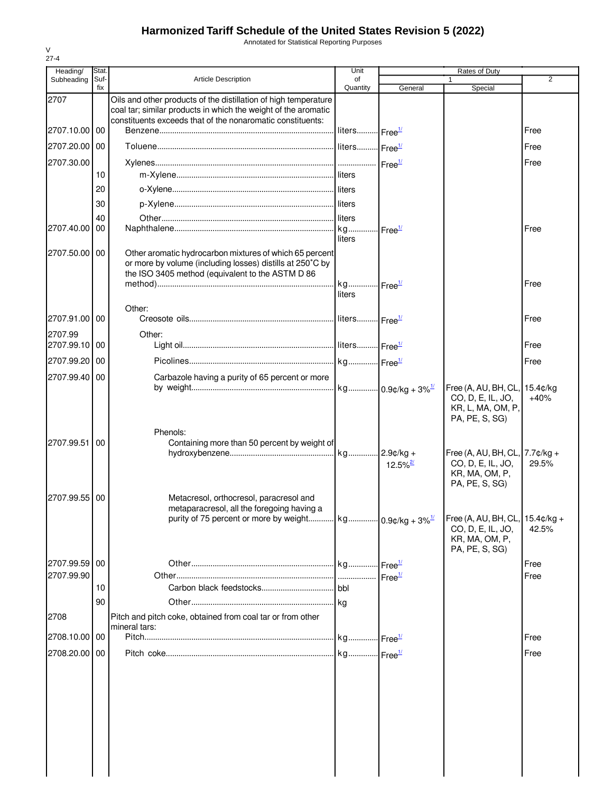Annotated for Statistical Reporting Purposes

| Heading/                    | Stat.       |                                                                                                                                                                                                 | Unit                      |                        | Rates of Duty                                                                                    |                    |
|-----------------------------|-------------|-------------------------------------------------------------------------------------------------------------------------------------------------------------------------------------------------|---------------------------|------------------------|--------------------------------------------------------------------------------------------------|--------------------|
| Subheading                  | Suf-<br>fix | <b>Article Description</b>                                                                                                                                                                      | of<br>Quantity            | General                | 1<br>Special                                                                                     | 2                  |
| 2707                        |             | Oils and other products of the distillation of high temperature<br>coal tar; similar products in which the weight of the aromatic<br>constituents exceeds that of the nonaromatic constituents: |                           |                        |                                                                                                  |                    |
| 2707.10.00                  | 00          |                                                                                                                                                                                                 | liters Free <sup>1/</sup> |                        |                                                                                                  | Free               |
| 2707.20.00                  | 00          |                                                                                                                                                                                                 |                           |                        |                                                                                                  | Free               |
| 2707.30.00                  |             |                                                                                                                                                                                                 |                           |                        |                                                                                                  | Free               |
|                             | 10          |                                                                                                                                                                                                 |                           |                        |                                                                                                  |                    |
|                             | 20          |                                                                                                                                                                                                 |                           |                        |                                                                                                  |                    |
|                             | 30          |                                                                                                                                                                                                 |                           |                        |                                                                                                  |                    |
|                             | 40          |                                                                                                                                                                                                 | liters                    |                        |                                                                                                  |                    |
| 2707.40.00                  | 00          |                                                                                                                                                                                                 | liters                    | Free <sup>1/</sup>     |                                                                                                  | Free               |
| 2707.50.00 00               |             | Other aromatic hydrocarbon mixtures of which 65 percent<br>or more by volume (including losses) distills at 250°C by<br>the ISO 3405 method (equivalent to the ASTM D 86                        | kg Free <sup>1/</sup>     |                        |                                                                                                  | Free               |
|                             |             |                                                                                                                                                                                                 | liters                    |                        |                                                                                                  |                    |
| 2707.91.00                  | 00          | Other:                                                                                                                                                                                          |                           |                        |                                                                                                  | Free               |
| 2707.99                     |             | Other:                                                                                                                                                                                          |                           |                        |                                                                                                  |                    |
| 2707.99.10 00               |             |                                                                                                                                                                                                 |                           |                        |                                                                                                  | Free               |
| 2707.99.20                  | 00          |                                                                                                                                                                                                 |                           |                        |                                                                                                  | Free               |
| 2707.99.40                  | 00          | Carbazole having a purity of 65 percent or more                                                                                                                                                 |                           |                        |                                                                                                  |                    |
|                             |             |                                                                                                                                                                                                 |                           |                        | Free (A, AU, BH, CL,<br>CO, D, E, IL, JO,<br>KR, L, MA, OM, P,<br>PA, PE, S, SG)                 | 15.4¢/kg<br>$+40%$ |
| 2707.99.51                  | 00          | Phenols:<br>Containing more than 50 percent by weight of                                                                                                                                        |                           | $12.5\%$ <sup>2/</sup> | Free (A, AU, BH, CL, $7.7$ $¢$ / $kg +$<br>CO, D, E, IL, JO,<br>KR, MA, OM, P,<br>PA, PE, S, SG) | 29.5%              |
| 2707.99.55                  | 00          | Metacresol, orthocresol, paracresol and<br>metaparacresol, all the foregoing having a<br>purity of 75 percent or more by weight   kg   0.9¢/kg + 3% $\frac{1}{2}$                               |                           |                        | Free (A, AU, BH, CL, 15.4¢/kg +<br>CO, D, E, IL, JO,<br>KR, MA, OM, P,                           | 42.5%              |
|                             |             |                                                                                                                                                                                                 |                           |                        | PA, PE, S, SG)                                                                                   |                    |
| 2707.99.59 00<br>2707.99.90 |             |                                                                                                                                                                                                 |                           | Free <sup>1/</sup>     |                                                                                                  | Free<br>Free       |
|                             | 10          |                                                                                                                                                                                                 | bbl                       |                        |                                                                                                  |                    |
|                             | 90          |                                                                                                                                                                                                 |                           |                        |                                                                                                  |                    |
| 2708                        |             | Pitch and pitch coke, obtained from coal tar or from other<br>mineral tars:                                                                                                                     |                           |                        |                                                                                                  |                    |
| 2708.10.00                  | 00          |                                                                                                                                                                                                 |                           |                        |                                                                                                  | Free               |
| 2708.20.00 00               |             |                                                                                                                                                                                                 |                           |                        |                                                                                                  | Free               |
|                             |             |                                                                                                                                                                                                 |                           |                        |                                                                                                  |                    |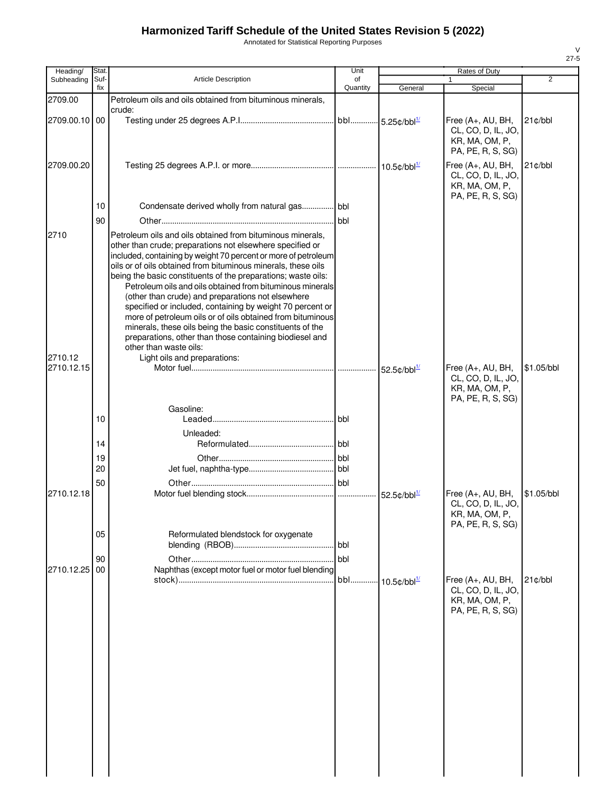Annotated for Statistical Reporting Purposes

| of<br>Quantity                                             | General                                                                                                                                                                                                                                                                                                                                                                                                                                                                                                                                                                                                                                                                                                                                                                                               | Special                                                                        | $\overline{2}$                                              |
|------------------------------------------------------------|-------------------------------------------------------------------------------------------------------------------------------------------------------------------------------------------------------------------------------------------------------------------------------------------------------------------------------------------------------------------------------------------------------------------------------------------------------------------------------------------------------------------------------------------------------------------------------------------------------------------------------------------------------------------------------------------------------------------------------------------------------------------------------------------------------|--------------------------------------------------------------------------------|-------------------------------------------------------------|
|                                                            |                                                                                                                                                                                                                                                                                                                                                                                                                                                                                                                                                                                                                                                                                                                                                                                                       |                                                                                |                                                             |
| Petroleum oils and oils obtained from bituminous minerals, |                                                                                                                                                                                                                                                                                                                                                                                                                                                                                                                                                                                                                                                                                                                                                                                                       |                                                                                |                                                             |
|                                                            |                                                                                                                                                                                                                                                                                                                                                                                                                                                                                                                                                                                                                                                                                                                                                                                                       | Free (A+, AU, BH,<br>CL, CO, D, IL, JO,<br>KR, MA, OM, P,<br>PA, PE, R, S, SG) | $21$ ¢/bbl                                                  |
|                                                            |                                                                                                                                                                                                                                                                                                                                                                                                                                                                                                                                                                                                                                                                                                                                                                                                       | Free (A+, AU, BH,<br>CL, CO, D, IL, JO,<br>KR, MA, OM, P,                      | 21c/bbl                                                     |
|                                                            |                                                                                                                                                                                                                                                                                                                                                                                                                                                                                                                                                                                                                                                                                                                                                                                                       |                                                                                |                                                             |
|                                                            |                                                                                                                                                                                                                                                                                                                                                                                                                                                                                                                                                                                                                                                                                                                                                                                                       |                                                                                |                                                             |
|                                                            |                                                                                                                                                                                                                                                                                                                                                                                                                                                                                                                                                                                                                                                                                                                                                                                                       |                                                                                |                                                             |
|                                                            | 52.5 $\text{c/bbl}^{\frac{1}{2}}$                                                                                                                                                                                                                                                                                                                                                                                                                                                                                                                                                                                                                                                                                                                                                                     | Free (A+, AU, BH,<br>CL, CO, D, IL, JO,<br>KR, MA, OM, P,                      | \$1.05/bbl                                                  |
| <b>bbl</b>                                                 |                                                                                                                                                                                                                                                                                                                                                                                                                                                                                                                                                                                                                                                                                                                                                                                                       |                                                                                |                                                             |
|                                                            |                                                                                                                                                                                                                                                                                                                                                                                                                                                                                                                                                                                                                                                                                                                                                                                                       |                                                                                |                                                             |
|                                                            |                                                                                                                                                                                                                                                                                                                                                                                                                                                                                                                                                                                                                                                                                                                                                                                                       |                                                                                |                                                             |
|                                                            |                                                                                                                                                                                                                                                                                                                                                                                                                                                                                                                                                                                                                                                                                                                                                                                                       |                                                                                |                                                             |
|                                                            |                                                                                                                                                                                                                                                                                                                                                                                                                                                                                                                                                                                                                                                                                                                                                                                                       |                                                                                |                                                             |
|                                                            | $52.5 \text{c}/\text{bb}^{\frac{1}{2}}$                                                                                                                                                                                                                                                                                                                                                                                                                                                                                                                                                                                                                                                                                                                                                               | Free (A+, AU, BH,<br>CL, CO, D, IL, JO,<br>KR, MA, OM, P,                      | \$1.05/bbl                                                  |
| bbl                                                        |                                                                                                                                                                                                                                                                                                                                                                                                                                                                                                                                                                                                                                                                                                                                                                                                       |                                                                                |                                                             |
| bbl                                                        |                                                                                                                                                                                                                                                                                                                                                                                                                                                                                                                                                                                                                                                                                                                                                                                                       |                                                                                |                                                             |
| bbl                                                        | $10.5$ ¢/bbl $^{1/2}$                                                                                                                                                                                                                                                                                                                                                                                                                                                                                                                                                                                                                                                                                                                                                                                 | Free (A+, AU, BH,<br>CL, CO, D, IL, JO,<br>KR, MA, OM, P,<br>PA, PE, R, S, SG) | $21$ ¢/bbl                                                  |
|                                                            | bbl<br>Petroleum oils and oils obtained from bituminous minerals,<br>other than crude; preparations not elsewhere specified or<br>included, containing by weight 70 percent or more of petroleum<br>oils or of oils obtained from bituminous minerals, these oils<br>being the basic constituents of the preparations; waste oils:<br>Petroleum oils and oils obtained from bituminous minerals<br>(other than crude) and preparations not elsewhere<br>specified or included, containing by weight 70 percent or<br>more of petroleum oils or of oils obtained from bituminous<br>minerals, these oils being the basic constituents of the<br>preparations, other than those containing biodiesel and<br>Reformulated blendstock for oxygenate<br>Naphthas (except motor fuel or motor fuel blending |                                                                                | PA, PE, R, S, SG)<br>PA, PE, R, S, SG)<br>PA, PE, R, S, SG) |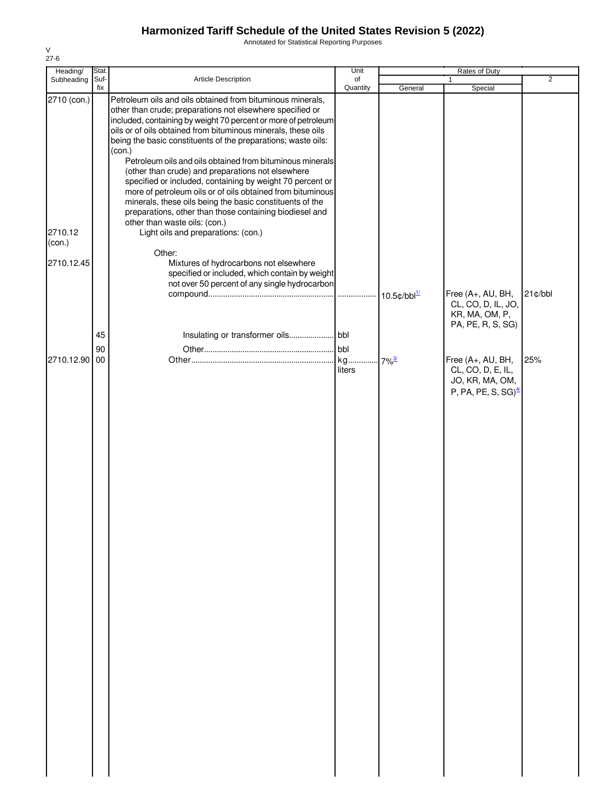Annotated for Statistical Reporting Purposes

| Heading/    | Stat. |                                                                                                                             | Unit         |                       | Rates of Duty                           |                |
|-------------|-------|-----------------------------------------------------------------------------------------------------------------------------|--------------|-----------------------|-----------------------------------------|----------------|
| Subheading  | Suf-  | Article Description                                                                                                         | of           |                       | 1                                       | $\overline{2}$ |
| 2710 (con.) | fix   | Petroleum oils and oils obtained from bituminous minerals,                                                                  | Quantity     | General               | Special                                 |                |
|             |       | other than crude; preparations not elsewhere specified or<br>included, containing by weight 70 percent or more of petroleum |              |                       |                                         |                |
|             |       | oils or of oils obtained from bituminous minerals, these oils                                                               |              |                       |                                         |                |
|             |       | being the basic constituents of the preparations; waste oils:                                                               |              |                       |                                         |                |
|             |       | (con.)                                                                                                                      |              |                       |                                         |                |
|             |       | Petroleum oils and oils obtained from bituminous minerals<br>(other than crude) and preparations not elsewhere              |              |                       |                                         |                |
|             |       | specified or included, containing by weight 70 percent or                                                                   |              |                       |                                         |                |
|             |       | more of petroleum oils or of oils obtained from bituminous                                                                  |              |                       |                                         |                |
|             |       | minerals, these oils being the basic constituents of the<br>preparations, other than those containing biodiesel and         |              |                       |                                         |                |
|             |       | other than waste oils: (con.)                                                                                               |              |                       |                                         |                |
| 2710.12     |       | Light oils and preparations: (con.)                                                                                         |              |                       |                                         |                |
| (con.)      |       |                                                                                                                             |              |                       |                                         |                |
| 2710.12.45  |       | Other:<br>Mixtures of hydrocarbons not elsewhere                                                                            |              |                       |                                         |                |
|             |       | specified or included, which contain by weight                                                                              |              |                       |                                         |                |
|             |       | not over 50 percent of any single hydrocarbon                                                                               |              |                       |                                         |                |
|             |       |                                                                                                                             |              | $10.5$ ¢/bbl $^{1/2}$ | Free (A+, AU, BH,<br>CL, CO, D, IL, JO, | $21$ ¢/bbl     |
|             |       |                                                                                                                             |              |                       | KR, MA, OM, P,                          |                |
|             |       |                                                                                                                             |              |                       | PA, PE, R, S, SG)                       |                |
|             | 45    |                                                                                                                             |              |                       |                                         |                |
|             | 90    |                                                                                                                             | bbl.         |                       |                                         |                |
| 2710.12.90  | 00    |                                                                                                                             | kg<br>liters | $7\%$ <sup>3/</sup>   | Free (A+, AU, BH,<br>CL, CO, D, E, IL,  | 25%            |
|             |       |                                                                                                                             |              |                       | JO, KR, MA, OM,                         |                |
|             |       |                                                                                                                             |              |                       | P, PA, PE, S, SG) $\frac{4}{3}$         |                |
|             |       |                                                                                                                             |              |                       |                                         |                |
|             |       |                                                                                                                             |              |                       |                                         |                |
|             |       |                                                                                                                             |              |                       |                                         |                |
|             |       |                                                                                                                             |              |                       |                                         |                |
|             |       |                                                                                                                             |              |                       |                                         |                |
|             |       |                                                                                                                             |              |                       |                                         |                |
|             |       |                                                                                                                             |              |                       |                                         |                |
|             |       |                                                                                                                             |              |                       |                                         |                |
|             |       |                                                                                                                             |              |                       |                                         |                |
|             |       |                                                                                                                             |              |                       |                                         |                |
|             |       |                                                                                                                             |              |                       |                                         |                |
|             |       |                                                                                                                             |              |                       |                                         |                |
|             |       |                                                                                                                             |              |                       |                                         |                |
|             |       |                                                                                                                             |              |                       |                                         |                |
|             |       |                                                                                                                             |              |                       |                                         |                |
|             |       |                                                                                                                             |              |                       |                                         |                |
|             |       |                                                                                                                             |              |                       |                                         |                |
|             |       |                                                                                                                             |              |                       |                                         |                |
|             |       |                                                                                                                             |              |                       |                                         |                |
|             |       |                                                                                                                             |              |                       |                                         |                |
|             |       |                                                                                                                             |              |                       |                                         |                |
|             |       |                                                                                                                             |              |                       |                                         |                |
|             |       |                                                                                                                             |              |                       |                                         |                |
|             |       |                                                                                                                             |              |                       |                                         |                |
|             |       |                                                                                                                             |              |                       |                                         |                |
|             |       |                                                                                                                             |              |                       |                                         |                |
|             |       |                                                                                                                             |              |                       |                                         |                |
|             |       |                                                                                                                             |              |                       |                                         |                |
|             |       |                                                                                                                             |              |                       |                                         |                |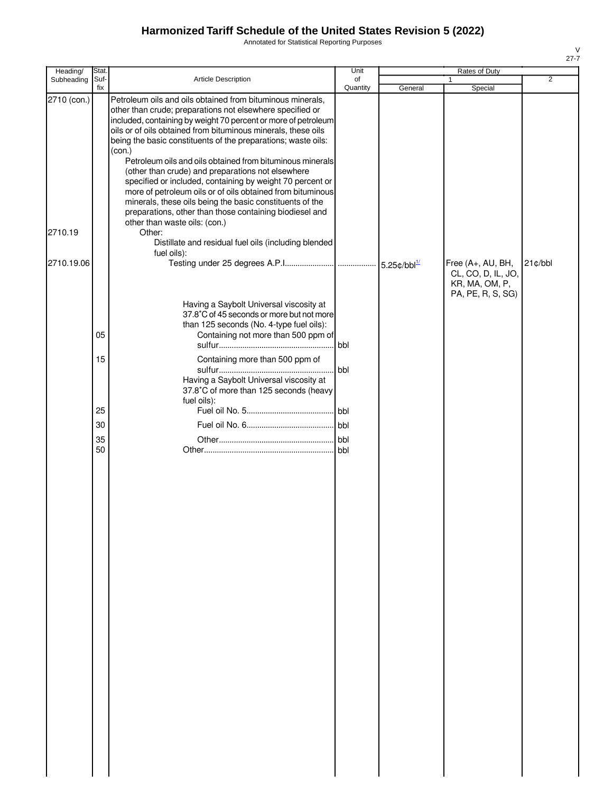Annotated for Statistical Reporting Purposes

| Heading/               | Stat.       |                                                                                                                                                                                                                                                                                                                                                                                                                                                                                                                                                                                                                                                                                                                                                                                                              | Unit           |                                   | Rates of Duty                                                                  |                |
|------------------------|-------------|--------------------------------------------------------------------------------------------------------------------------------------------------------------------------------------------------------------------------------------------------------------------------------------------------------------------------------------------------------------------------------------------------------------------------------------------------------------------------------------------------------------------------------------------------------------------------------------------------------------------------------------------------------------------------------------------------------------------------------------------------------------------------------------------------------------|----------------|-----------------------------------|--------------------------------------------------------------------------------|----------------|
| Subheading             | Suf-<br>fix | Article Description                                                                                                                                                                                                                                                                                                                                                                                                                                                                                                                                                                                                                                                                                                                                                                                          | of<br>Quantity | General                           | Special                                                                        | $\overline{2}$ |
| 2710 (con.)<br>2710.19 |             | Petroleum oils and oils obtained from bituminous minerals,<br>other than crude; preparations not elsewhere specified or<br>included, containing by weight 70 percent or more of petroleum<br>oils or of oils obtained from bituminous minerals, these oils<br>being the basic constituents of the preparations; waste oils:<br>(con.)<br>Petroleum oils and oils obtained from bituminous minerals<br>(other than crude) and preparations not elsewhere<br>specified or included, containing by weight 70 percent or<br>more of petroleum oils or of oils obtained from bituminous<br>minerals, these oils being the basic constituents of the<br>preparations, other than those containing biodiesel and<br>other than waste oils: (con.)<br>Other:<br>Distillate and residual fuel oils (including blended |                |                                   |                                                                                |                |
| 2710.19.06             |             | fuel oils):<br>Having a Saybolt Universal viscosity at                                                                                                                                                                                                                                                                                                                                                                                                                                                                                                                                                                                                                                                                                                                                                       |                | 5.25 $\text{c/bbl}^{\frac{1}{2}}$ | Free (A+, AU, BH,<br>CL, CO, D, IL, JO,<br>KR, MA, OM, P,<br>PA, PE, R, S, SG) | $21$ c/bbl     |
|                        | 05          | 37.8°C of 45 seconds or more but not more<br>than 125 seconds (No. 4-type fuel oils):<br>Containing not more than 500 ppm of                                                                                                                                                                                                                                                                                                                                                                                                                                                                                                                                                                                                                                                                                 | bbl            |                                   |                                                                                |                |
|                        | 15          | Containing more than 500 ppm of<br>Having a Saybolt Universal viscosity at<br>37.8°C of more than 125 seconds (heavy<br>fuel oils):                                                                                                                                                                                                                                                                                                                                                                                                                                                                                                                                                                                                                                                                          | bbl            |                                   |                                                                                |                |
|                        | 25          |                                                                                                                                                                                                                                                                                                                                                                                                                                                                                                                                                                                                                                                                                                                                                                                                              |                |                                   |                                                                                |                |
|                        | 30          |                                                                                                                                                                                                                                                                                                                                                                                                                                                                                                                                                                                                                                                                                                                                                                                                              | bbl            |                                   |                                                                                |                |
|                        | 35          |                                                                                                                                                                                                                                                                                                                                                                                                                                                                                                                                                                                                                                                                                                                                                                                                              | bbl.           |                                   |                                                                                |                |
|                        | 50          |                                                                                                                                                                                                                                                                                                                                                                                                                                                                                                                                                                                                                                                                                                                                                                                                              | l bbl.         |                                   |                                                                                |                |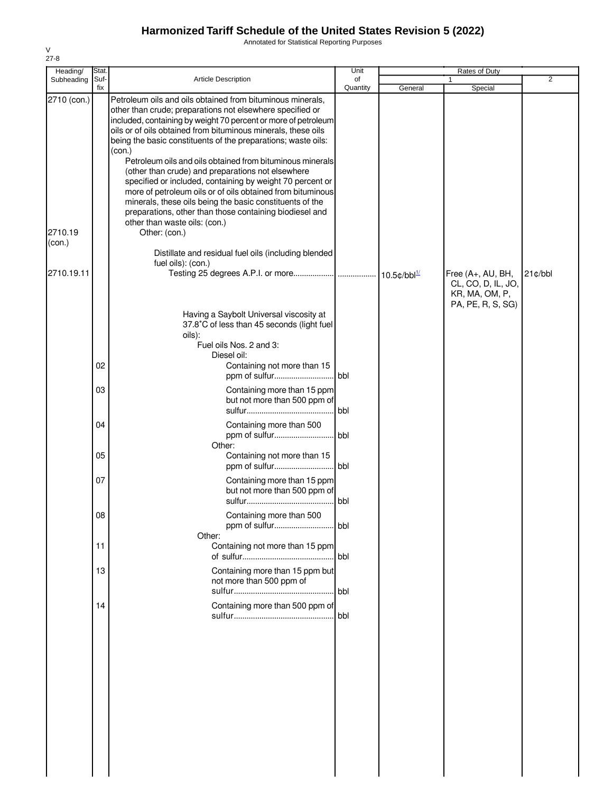Annotated for Statistical Reporting Purposes

| Heading/    | Stat.       |                                                                                                                                                                                                                                                                                                                                                                                                                                                                                                                                                                                                                                                                                                           | Unit           |         | Rates of Duty                                                                  |                |
|-------------|-------------|-----------------------------------------------------------------------------------------------------------------------------------------------------------------------------------------------------------------------------------------------------------------------------------------------------------------------------------------------------------------------------------------------------------------------------------------------------------------------------------------------------------------------------------------------------------------------------------------------------------------------------------------------------------------------------------------------------------|----------------|---------|--------------------------------------------------------------------------------|----------------|
| Subheading  | Suf-<br>fix | Article Description                                                                                                                                                                                                                                                                                                                                                                                                                                                                                                                                                                                                                                                                                       | of<br>Quantity | General | Special                                                                        | $\overline{2}$ |
| 2710 (con.) |             | Petroleum oils and oils obtained from bituminous minerals,<br>other than crude; preparations not elsewhere specified or<br>included, containing by weight 70 percent or more of petroleum<br>oils or of oils obtained from bituminous minerals, these oils<br>being the basic constituents of the preparations; waste oils:<br>(con.)<br>Petroleum oils and oils obtained from bituminous minerals<br>(other than crude) and preparations not elsewhere<br>specified or included, containing by weight 70 percent or<br>more of petroleum oils or of oils obtained from bituminous<br>minerals, these oils being the basic constituents of the<br>preparations, other than those containing biodiesel and |                |         |                                                                                |                |
|             |             | other than waste oils: (con.)                                                                                                                                                                                                                                                                                                                                                                                                                                                                                                                                                                                                                                                                             |                |         |                                                                                |                |
| 2710.19     |             | Other: (con.)                                                                                                                                                                                                                                                                                                                                                                                                                                                                                                                                                                                                                                                                                             |                |         |                                                                                |                |
| (con.)      |             | Distillate and residual fuel oils (including blended<br>fuel oils): (con.)                                                                                                                                                                                                                                                                                                                                                                                                                                                                                                                                                                                                                                |                |         |                                                                                |                |
| 2710.19.11  |             |                                                                                                                                                                                                                                                                                                                                                                                                                                                                                                                                                                                                                                                                                                           |                |         | Free (A+, AU, BH,<br>CL, CO, D, IL, JO,<br>KR, MA, OM, P,<br>PA, PE, R, S, SG) | $21$ ¢/bbl     |
|             |             | Having a Saybolt Universal viscosity at<br>37.8°C of less than 45 seconds (light fuel<br>oils):<br>Fuel oils Nos. 2 and 3:                                                                                                                                                                                                                                                                                                                                                                                                                                                                                                                                                                                |                |         |                                                                                |                |
|             | 02          | Diesel oil:<br>Containing not more than 15                                                                                                                                                                                                                                                                                                                                                                                                                                                                                                                                                                                                                                                                |                |         |                                                                                |                |
|             | 03          | Containing more than 15 ppm<br>but not more than 500 ppm of                                                                                                                                                                                                                                                                                                                                                                                                                                                                                                                                                                                                                                               | l bbl.         |         |                                                                                |                |
|             | 04          | Containing more than 500                                                                                                                                                                                                                                                                                                                                                                                                                                                                                                                                                                                                                                                                                  | bbl.           |         |                                                                                |                |
|             | 05          | Other:<br>Containing not more than 15                                                                                                                                                                                                                                                                                                                                                                                                                                                                                                                                                                                                                                                                     |                |         |                                                                                |                |
|             | 07          | Containing more than 15 ppm<br>but not more than 500 ppm of                                                                                                                                                                                                                                                                                                                                                                                                                                                                                                                                                                                                                                               |                |         |                                                                                |                |
|             | 08          | Containing more than 500<br>Other:                                                                                                                                                                                                                                                                                                                                                                                                                                                                                                                                                                                                                                                                        | bbl            |         |                                                                                |                |
|             | 11          | Containing not more than 15 ppm                                                                                                                                                                                                                                                                                                                                                                                                                                                                                                                                                                                                                                                                           | . bbl          |         |                                                                                |                |
|             | 13          | Containing more than 15 ppm but<br>not more than 500 ppm of                                                                                                                                                                                                                                                                                                                                                                                                                                                                                                                                                                                                                                               | bbl            |         |                                                                                |                |
|             | 14          | Containing more than 500 ppm of                                                                                                                                                                                                                                                                                                                                                                                                                                                                                                                                                                                                                                                                           | bbl            |         |                                                                                |                |
|             |             |                                                                                                                                                                                                                                                                                                                                                                                                                                                                                                                                                                                                                                                                                                           |                |         |                                                                                |                |
|             |             |                                                                                                                                                                                                                                                                                                                                                                                                                                                                                                                                                                                                                                                                                                           |                |         |                                                                                |                |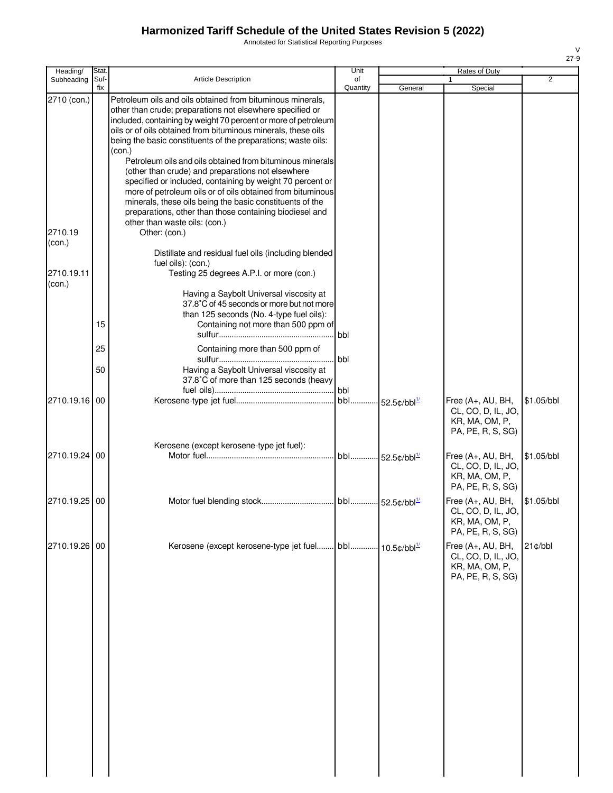Annotated for Statistical Reporting Purposes

| Heading/                       | Stat.       |                                                                                                                                                                                                                                                                                                                                                                                                                                                         | Unit                        |                                   | Rates of Duty                                                                  |            |
|--------------------------------|-------------|---------------------------------------------------------------------------------------------------------------------------------------------------------------------------------------------------------------------------------------------------------------------------------------------------------------------------------------------------------------------------------------------------------------------------------------------------------|-----------------------------|-----------------------------------|--------------------------------------------------------------------------------|------------|
| Subheading                     | Suf-<br>fix | Article Description                                                                                                                                                                                                                                                                                                                                                                                                                                     | of<br>Quantity              | General                           | 1<br>Special                                                                   | 2          |
| 2710 (con.)                    |             | Petroleum oils and oils obtained from bituminous minerals,<br>other than crude; preparations not elsewhere specified or<br>included, containing by weight 70 percent or more of petroleum<br>oils or of oils obtained from bituminous minerals, these oils<br>being the basic constituents of the preparations; waste oils:<br>(con.)<br>Petroleum oils and oils obtained from bituminous minerals<br>(other than crude) and preparations not elsewhere |                             |                                   |                                                                                |            |
| 2710.19                        |             | specified or included, containing by weight 70 percent or<br>more of petroleum oils or of oils obtained from bituminous<br>minerals, these oils being the basic constituents of the<br>preparations, other than those containing biodiesel and<br>other than waste oils: (con.)<br>Other: (con.)                                                                                                                                                        |                             |                                   |                                                                                |            |
| (con.)<br>2710.19.11<br>(con.) |             | Distillate and residual fuel oils (including blended<br>fuel oils): (con.)<br>Testing 25 degrees A.P.I. or more (con.)                                                                                                                                                                                                                                                                                                                                  |                             |                                   |                                                                                |            |
|                                | 15          | Having a Saybolt Universal viscosity at<br>37.8°C of 45 seconds or more but not more<br>than 125 seconds (No. 4-type fuel oils):<br>Containing not more than 500 ppm of                                                                                                                                                                                                                                                                                 | bbl                         |                                   |                                                                                |            |
|                                | 25          | Containing more than 500 ppm of                                                                                                                                                                                                                                                                                                                                                                                                                         | bbl                         |                                   |                                                                                |            |
|                                | 50          | Having a Saybolt Universal viscosity at<br>37.8°C of more than 125 seconds (heavy                                                                                                                                                                                                                                                                                                                                                                       | bbl                         |                                   |                                                                                |            |
| 2710.19.16                     | 00          |                                                                                                                                                                                                                                                                                                                                                                                                                                                         | bbl                         | 52.5 $\text{c/bbl}^{\frac{1}{2}}$ | Free (A+, AU, BH,<br>CL, CO, D, IL, JO,<br>KR, MA, OM, P,<br>PA, PE, R, S, SG) | \$1.05/bbl |
| 2710.19.24                     | 00          | Kerosene (except kerosene-type jet fuel):                                                                                                                                                                                                                                                                                                                                                                                                               | bbl 52.5¢/bbl <sup>1/</sup> |                                   | Free (A+, AU, BH,<br>CL, CO, D, IL, JO,<br>KR, MA, OM, P,<br>PA, PE, R, S, SG) | \$1.05/bbl |
| 2710.19.25                     | 00          |                                                                                                                                                                                                                                                                                                                                                                                                                                                         |                             |                                   | Free (A+, AU, BH,<br>CL, CO, D, IL, JO,<br>KR, MA, OM, P,<br>PA, PE, R, S, SG) | \$1.05/bbl |
| 2710.19.26 00                  |             | Kerosene (except kerosene-type jet fuel bbl 10.5¢/bbl <sup>1/</sup>                                                                                                                                                                                                                                                                                                                                                                                     |                             |                                   | Free (A+, AU, BH,<br>CL, CO, D, IL, JO,<br>KR, MA, OM, P,<br>PA, PE, R, S, SG) | 21¢/bbl    |
|                                |             |                                                                                                                                                                                                                                                                                                                                                                                                                                                         |                             |                                   |                                                                                |            |
|                                |             |                                                                                                                                                                                                                                                                                                                                                                                                                                                         |                             |                                   |                                                                                |            |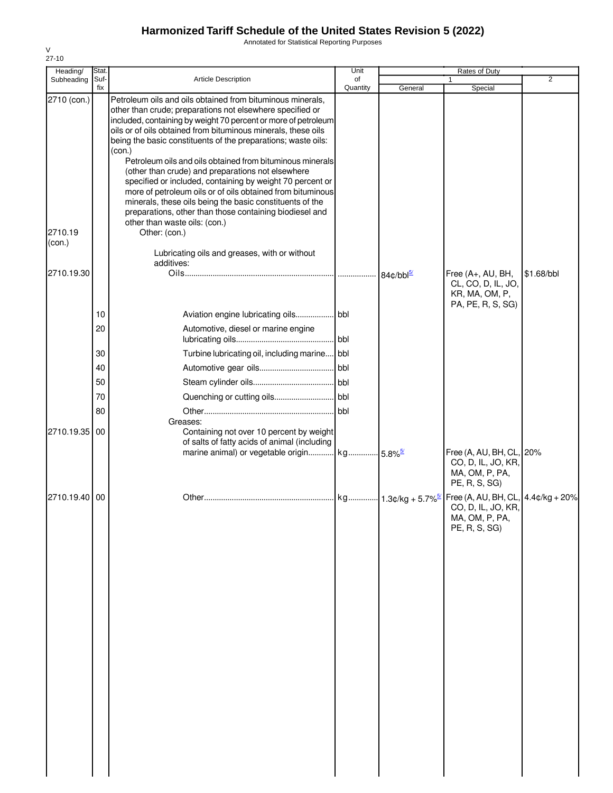Annotated for Statistical Reporting Purposes

| Heading/    | Stat.       |                                                                                                                                                                                                                                                                                                                                                                                                                    | Unit           |                         | Rates of Duty                                                                               |            |
|-------------|-------------|--------------------------------------------------------------------------------------------------------------------------------------------------------------------------------------------------------------------------------------------------------------------------------------------------------------------------------------------------------------------------------------------------------------------|----------------|-------------------------|---------------------------------------------------------------------------------------------|------------|
| Subheading  | Suf-<br>fix | Article Description                                                                                                                                                                                                                                                                                                                                                                                                | of<br>Quantity | General                 | $\mathbf{1}$<br>Special                                                                     | 2          |
| 2710 (con.) |             | Petroleum oils and oils obtained from bituminous minerals.<br>other than crude; preparations not elsewhere specified or<br>included, containing by weight 70 percent or more of petroleum<br>oils or of oils obtained from bituminous minerals, these oils<br>being the basic constituents of the preparations; waste oils:<br>(con.)                                                                              |                |                         |                                                                                             |            |
| 2710.19     |             | Petroleum oils and oils obtained from bituminous minerals<br>(other than crude) and preparations not elsewhere<br>specified or included, containing by weight 70 percent or<br>more of petroleum oils or of oils obtained from bituminous<br>minerals, these oils being the basic constituents of the<br>preparations, other than those containing biodiesel and<br>other than waste oils: (con.)<br>Other: (con.) |                |                         |                                                                                             |            |
| (con.)      |             | Lubricating oils and greases, with or without<br>additives:                                                                                                                                                                                                                                                                                                                                                        |                |                         |                                                                                             |            |
| 2710.19.30  |             |                                                                                                                                                                                                                                                                                                                                                                                                                    |                | $84¢/bbl^{\frac{5}{2}}$ | Free (A+, AU, BH,<br>CL, CO, D, IL, JO,<br>KR, MA, OM, P,<br>PA, PE, R, S, SG)              | \$1.68/bbl |
|             | 10          | Aviation engine lubricating oils bbl                                                                                                                                                                                                                                                                                                                                                                               |                |                         |                                                                                             |            |
|             | 20          | Automotive, diesel or marine engine                                                                                                                                                                                                                                                                                                                                                                                |                |                         |                                                                                             |            |
|             | 30          | Turbine lubricating oil, including marine bbl                                                                                                                                                                                                                                                                                                                                                                      |                |                         |                                                                                             |            |
|             | 40          |                                                                                                                                                                                                                                                                                                                                                                                                                    |                |                         |                                                                                             |            |
|             | 50          |                                                                                                                                                                                                                                                                                                                                                                                                                    |                |                         |                                                                                             |            |
|             | 70          |                                                                                                                                                                                                                                                                                                                                                                                                                    |                |                         |                                                                                             |            |
|             | 80          |                                                                                                                                                                                                                                                                                                                                                                                                                    |                |                         |                                                                                             |            |
| 2710.19.35  | 00          | Greases:<br>Containing not over 10 percent by weight<br>of salts of fatty acids of animal (including<br>marine animal) or vegetable origin kg 5.8% <sup>5/</sup>                                                                                                                                                                                                                                                   |                |                         | Free (A, AU, BH, CL, 20%<br>CO, D, IL, JO, KR,                                              |            |
|             |             |                                                                                                                                                                                                                                                                                                                                                                                                                    |                |                         | MA, OM, P, PA,<br>PE, R, S, SG)                                                             |            |
| 2710.19.40  | 00          |                                                                                                                                                                                                                                                                                                                                                                                                                    |                |                         | Free (A, AU, BH, CL, 4.4¢/kg + 20%<br>CO, D, IL, JO, KR,<br>MA, OM, P, PA,<br>PE, R, S, SG) |            |
|             |             |                                                                                                                                                                                                                                                                                                                                                                                                                    |                |                         |                                                                                             |            |
|             |             |                                                                                                                                                                                                                                                                                                                                                                                                                    |                |                         |                                                                                             |            |
|             |             |                                                                                                                                                                                                                                                                                                                                                                                                                    |                |                         |                                                                                             |            |
|             |             |                                                                                                                                                                                                                                                                                                                                                                                                                    |                |                         |                                                                                             |            |
|             |             |                                                                                                                                                                                                                                                                                                                                                                                                                    |                |                         |                                                                                             |            |
|             |             |                                                                                                                                                                                                                                                                                                                                                                                                                    |                |                         |                                                                                             |            |
|             |             |                                                                                                                                                                                                                                                                                                                                                                                                                    |                |                         |                                                                                             |            |
|             |             |                                                                                                                                                                                                                                                                                                                                                                                                                    |                |                         |                                                                                             |            |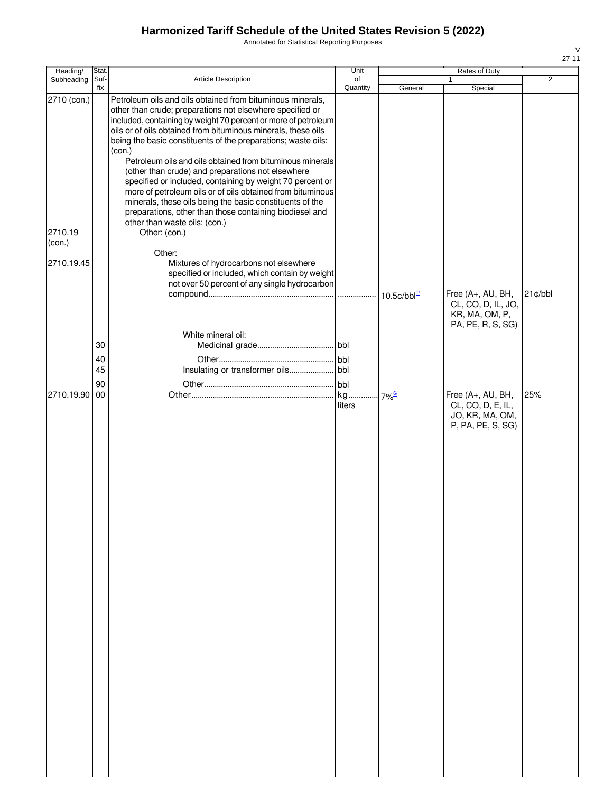Annotated for Statistical Reporting Purposes

| Heading/          | Stat           |                                                                                                                                                                                                                                                                                                                                                                                                                                                                                                                                                                                                                                                                                                                                            | Unit                |                            | Rates of Duty                                                                  |                |
|-------------------|----------------|--------------------------------------------------------------------------------------------------------------------------------------------------------------------------------------------------------------------------------------------------------------------------------------------------------------------------------------------------------------------------------------------------------------------------------------------------------------------------------------------------------------------------------------------------------------------------------------------------------------------------------------------------------------------------------------------------------------------------------------------|---------------------|----------------------------|--------------------------------------------------------------------------------|----------------|
| Subheading        | Suf-<br>fix    | <b>Article Description</b>                                                                                                                                                                                                                                                                                                                                                                                                                                                                                                                                                                                                                                                                                                                 | of<br>Quantity      | General                    | Special                                                                        | $\overline{2}$ |
| 2710 (con.)       |                | Petroleum oils and oils obtained from bituminous minerals,<br>other than crude; preparations not elsewhere specified or<br>included, containing by weight 70 percent or more of petroleum<br>oils or of oils obtained from bituminous minerals, these oils<br>being the basic constituents of the preparations; waste oils:<br>(con.)<br>Petroleum oils and oils obtained from bituminous minerals<br>(other than crude) and preparations not elsewhere<br>specified or included, containing by weight 70 percent or<br>more of petroleum oils or of oils obtained from bituminous<br>minerals, these oils being the basic constituents of the<br>preparations, other than those containing biodiesel and<br>other than waste oils: (con.) |                     |                            |                                                                                |                |
| 2710.19<br>(con.) |                | Other: (con.)                                                                                                                                                                                                                                                                                                                                                                                                                                                                                                                                                                                                                                                                                                                              |                     |                            |                                                                                |                |
| 2710.19.45        |                | Other:<br>Mixtures of hydrocarbons not elsewhere<br>specified or included, which contain by weight<br>not over 50 percent of any single hydrocarbon                                                                                                                                                                                                                                                                                                                                                                                                                                                                                                                                                                                        |                     | $10.5$ ¢/bbl $\frac{1}{2}$ | Free (A+, AU, BH,<br>CL, CO, D, IL, JO,                                        | $21$ ¢/bbl     |
|                   | 30<br>40<br>45 | White mineral oil:                                                                                                                                                                                                                                                                                                                                                                                                                                                                                                                                                                                                                                                                                                                         |                     |                            | KR, MA, OM, P,<br>PA, PE, R, S, SG)                                            |                |
| 2710.19.90        | 90<br>00       |                                                                                                                                                                                                                                                                                                                                                                                                                                                                                                                                                                                                                                                                                                                                            | bbl<br>kg<br>liters | 7% <sup>6/</sup>           | Free (A+, AU, BH,<br>CL, CO, D, E, IL,<br>JO, KR, MA, OM,<br>P, PA, PE, S, SG) | 25%            |
|                   |                |                                                                                                                                                                                                                                                                                                                                                                                                                                                                                                                                                                                                                                                                                                                                            |                     |                            |                                                                                |                |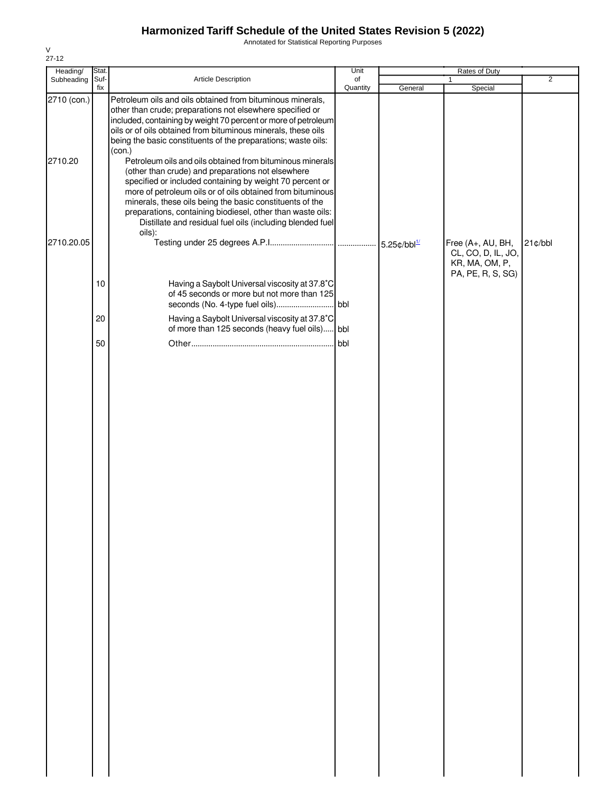Annotated for Statistical Reporting Purposes

| Heading/    | Stat. |                                                                                                                                                                                                                                                                                                                                                                                                                                           | Unit     |         | Rates of Duty                           |                |
|-------------|-------|-------------------------------------------------------------------------------------------------------------------------------------------------------------------------------------------------------------------------------------------------------------------------------------------------------------------------------------------------------------------------------------------------------------------------------------------|----------|---------|-----------------------------------------|----------------|
| Subheading  | Suf-  | Article Description                                                                                                                                                                                                                                                                                                                                                                                                                       | of       |         | 1                                       | $\overline{2}$ |
| 2710 (con.) | fix   | Petroleum oils and oils obtained from bituminous minerals,<br>other than crude; preparations not elsewhere specified or<br>included, containing by weight 70 percent or more of petroleum<br>oils or of oils obtained from bituminous minerals, these oils<br>being the basic constituents of the preparations; waste oils:<br>(con.)                                                                                                     | Quantity | General | Special                                 |                |
| 2710.20     |       | Petroleum oils and oils obtained from bituminous minerals<br>(other than crude) and preparations not elsewhere<br>specified or included containing by weight 70 percent or<br>more of petroleum oils or of oils obtained from bituminous<br>minerals, these oils being the basic constituents of the<br>preparations, containing biodiesel, other than waste oils:<br>Distillate and residual fuel oils (including blended fuel<br>oils): |          |         |                                         |                |
| 2710.20.05  |       |                                                                                                                                                                                                                                                                                                                                                                                                                                           |          |         | Free (A+, AU, BH,<br>CL, CO, D, IL, JO, | 21¢/bbl        |
|             |       |                                                                                                                                                                                                                                                                                                                                                                                                                                           |          |         | KR, MA, OM, P,<br>PA, PE, R, S, SG)     |                |
|             | 10    | Having a Saybolt Universal viscosity at 37.8°C<br>of 45 seconds or more but not more than 125                                                                                                                                                                                                                                                                                                                                             |          |         |                                         |                |
|             | 20    | Having a Saybolt Universal viscosity at 37.8°C<br>of more than 125 seconds (heavy fuel oils) bbl                                                                                                                                                                                                                                                                                                                                          |          |         |                                         |                |
|             | 50    |                                                                                                                                                                                                                                                                                                                                                                                                                                           | bbl      |         |                                         |                |
|             |       |                                                                                                                                                                                                                                                                                                                                                                                                                                           |          |         |                                         |                |
|             |       |                                                                                                                                                                                                                                                                                                                                                                                                                                           |          |         |                                         |                |
|             |       |                                                                                                                                                                                                                                                                                                                                                                                                                                           |          |         |                                         |                |
|             |       |                                                                                                                                                                                                                                                                                                                                                                                                                                           |          |         |                                         |                |
|             |       |                                                                                                                                                                                                                                                                                                                                                                                                                                           |          |         |                                         |                |
|             |       |                                                                                                                                                                                                                                                                                                                                                                                                                                           |          |         |                                         |                |
|             |       |                                                                                                                                                                                                                                                                                                                                                                                                                                           |          |         |                                         |                |
|             |       |                                                                                                                                                                                                                                                                                                                                                                                                                                           |          |         |                                         |                |
|             |       |                                                                                                                                                                                                                                                                                                                                                                                                                                           |          |         |                                         |                |
|             |       |                                                                                                                                                                                                                                                                                                                                                                                                                                           |          |         |                                         |                |
|             |       |                                                                                                                                                                                                                                                                                                                                                                                                                                           |          |         |                                         |                |
|             |       |                                                                                                                                                                                                                                                                                                                                                                                                                                           |          |         |                                         |                |
|             |       |                                                                                                                                                                                                                                                                                                                                                                                                                                           |          |         |                                         |                |
|             |       |                                                                                                                                                                                                                                                                                                                                                                                                                                           |          |         |                                         |                |
|             |       |                                                                                                                                                                                                                                                                                                                                                                                                                                           |          |         |                                         |                |
|             |       |                                                                                                                                                                                                                                                                                                                                                                                                                                           |          |         |                                         |                |
|             |       |                                                                                                                                                                                                                                                                                                                                                                                                                                           |          |         |                                         |                |
|             |       |                                                                                                                                                                                                                                                                                                                                                                                                                                           |          |         |                                         |                |
|             |       |                                                                                                                                                                                                                                                                                                                                                                                                                                           |          |         |                                         |                |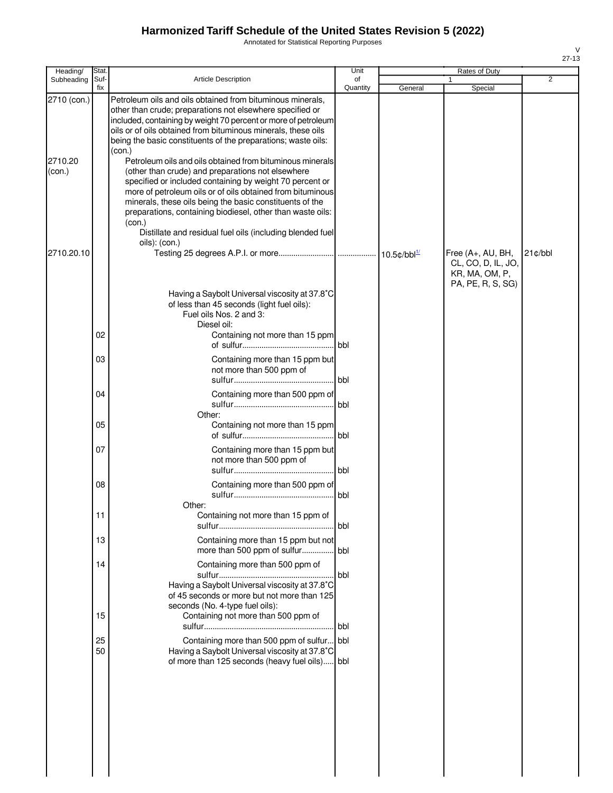Annotated for Statistical Reporting Purposes

| Heading/                         | Stat.          |                                                                                                                                                                                                                                                                                                                                                                                                                                                                                                                     | Unit           |         | Rates of Duty                           |            |
|----------------------------------|----------------|---------------------------------------------------------------------------------------------------------------------------------------------------------------------------------------------------------------------------------------------------------------------------------------------------------------------------------------------------------------------------------------------------------------------------------------------------------------------------------------------------------------------|----------------|---------|-----------------------------------------|------------|
| Subheading                       | Suf-<br>fix    | <b>Article Description</b>                                                                                                                                                                                                                                                                                                                                                                                                                                                                                          | of<br>Quantity | General | Special                                 | 2          |
| 2710 (con.)<br>2710.20<br>(con.) |                | Petroleum oils and oils obtained from bituminous minerals,<br>other than crude; preparations not elsewhere specified or<br>included, containing by weight 70 percent or more of petroleum<br>oils or of oils obtained from bituminous minerals, these oils<br>being the basic constituents of the preparations; waste oils:<br>(con.)<br>Petroleum oils and oils obtained from bituminous minerals<br>(other than crude) and preparations not elsewhere<br>specified or included containing by weight 70 percent or |                |         |                                         |            |
| 2710.20.10                       |                | more of petroleum oils or of oils obtained from bituminous<br>minerals, these oils being the basic constituents of the<br>preparations, containing biodiesel, other than waste oils:<br>(con.)<br>Distillate and residual fuel oils (including blended fuel<br>oils): (con.)                                                                                                                                                                                                                                        |                |         | Free (A+, AU, BH,<br>CL, CO, D, IL, JO, | $21$ ¢/bbl |
|                                  | 02             | Having a Saybolt Universal viscosity at 37.8°C<br>of less than 45 seconds (light fuel oils):<br>Fuel oils Nos. 2 and 3:<br>Diesel oil:<br>Containing not more than 15 ppm                                                                                                                                                                                                                                                                                                                                           | l bbl          |         | KR, MA, OM, P,<br>PA, PE, R, S, SG)     |            |
|                                  | 03             | Containing more than 15 ppm but<br>not more than 500 ppm of                                                                                                                                                                                                                                                                                                                                                                                                                                                         | bbl            |         |                                         |            |
|                                  | 04             | Containing more than 500 ppm of                                                                                                                                                                                                                                                                                                                                                                                                                                                                                     | <b>I</b> bbl   |         |                                         |            |
|                                  | 05             | Other:<br>Containing not more than 15 ppm                                                                                                                                                                                                                                                                                                                                                                                                                                                                           | l bbl.         |         |                                         |            |
|                                  | 07             | Containing more than 15 ppm but<br>not more than 500 ppm of                                                                                                                                                                                                                                                                                                                                                                                                                                                         | bbl            |         |                                         |            |
|                                  | 08             | Containing more than 500 ppm of                                                                                                                                                                                                                                                                                                                                                                                                                                                                                     | <b>bbl</b>     |         |                                         |            |
|                                  | 11             | Other:<br>Containing not more than 15 ppm of                                                                                                                                                                                                                                                                                                                                                                                                                                                                        | <b>I</b> bbl   |         |                                         |            |
|                                  | 13             | Containing more than 15 ppm but not<br>more than 500 ppm of sulfur bbl                                                                                                                                                                                                                                                                                                                                                                                                                                              |                |         |                                         |            |
|                                  | 14             | Containing more than 500 ppm of<br>Having a Saybolt Universal viscosity at 37.8°C<br>of 45 seconds or more but not more than 125<br>seconds (No. 4-type fuel oils):                                                                                                                                                                                                                                                                                                                                                 | bbl            |         |                                         |            |
|                                  | 15<br>25<br>50 | Containing not more than 500 ppm of<br>Containing more than 500 ppm of sulfur bbl<br>Having a Saybolt Universal viscosity at 37.8°C<br>of more than 125 seconds (heavy fuel oils) bbl                                                                                                                                                                                                                                                                                                                               | bbl            |         |                                         |            |
|                                  |                |                                                                                                                                                                                                                                                                                                                                                                                                                                                                                                                     |                |         |                                         |            |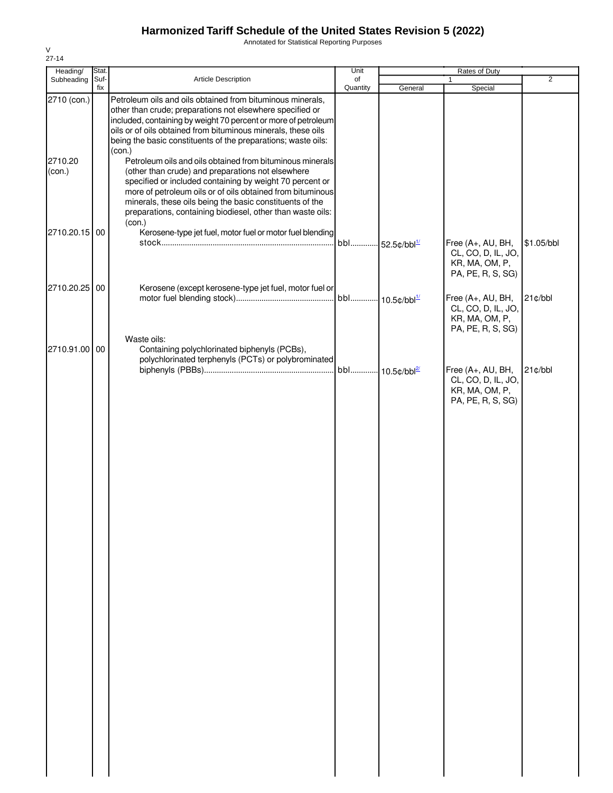Annotated for Statistical Reporting Purposes

| Heading/          | Stat.       |                                                                                                                                                                                                                                                                                                                                                                              | Unit           |                                 | Rates of Duty                                                                  |                |
|-------------------|-------------|------------------------------------------------------------------------------------------------------------------------------------------------------------------------------------------------------------------------------------------------------------------------------------------------------------------------------------------------------------------------------|----------------|---------------------------------|--------------------------------------------------------------------------------|----------------|
| Subheading        | Suf-<br>fix | Article Description                                                                                                                                                                                                                                                                                                                                                          | of<br>Quantity | General                         | $\mathbf{1}$<br>Special                                                        | $\overline{2}$ |
| 2710 (con.)       |             | Petroleum oils and oils obtained from bituminous minerals,<br>other than crude; preparations not elsewhere specified or<br>included, containing by weight 70 percent or more of petroleum<br>oils or of oils obtained from bituminous minerals, these oils<br>being the basic constituents of the preparations; waste oils:                                                  |                |                                 |                                                                                |                |
| 2710.20<br>(con.) |             | (con.)<br>Petroleum oils and oils obtained from bituminous minerals<br>(other than crude) and preparations not elsewhere<br>specified or included containing by weight 70 percent or<br>more of petroleum oils or of oils obtained from bituminous<br>minerals, these oils being the basic constituents of the<br>preparations, containing biodiesel, other than waste oils: |                |                                 |                                                                                |                |
| 2710.20.15 00     |             | (con.)<br>Kerosene-type jet fuel, motor fuel or motor fuel blending                                                                                                                                                                                                                                                                                                          | bbl            | $\cdot$ 52.5¢/bbl <sup>1/</sup> | Free (A+, AU, BH,<br>CL, CO, D, IL, JO,<br>KR, MA, OM, P,<br>PA, PE, R, S, SG) | \$1.05/bbl     |
| 2710.20.25        | 00          | Kerosene (except kerosene-type jet fuel, motor fuel or                                                                                                                                                                                                                                                                                                                       |                | bbl 10.5¢/bbl <sup>1/</sup>     | Free (A+, AU, BH,<br>CL, CO, D, IL, JO,<br>KR, MA, OM, P,<br>PA, PE, R, S, SG) | 21¢/bbl        |
| 2710.91.00 00     |             | Waste oils:<br>Containing polychlorinated biphenyls (PCBs),<br>polychlorinated terphenyls (PCTs) or polybrominated                                                                                                                                                                                                                                                           |                | bbl 10.5¢/bbl <sup>2/</sup>     | Free (A+, AU, BH,<br>CL, CO, D, IL, JO,<br>KR, MA, OM, P,<br>PA, PE, R, S, SG) | 21¢/bbl        |
|                   |             |                                                                                                                                                                                                                                                                                                                                                                              |                |                                 |                                                                                |                |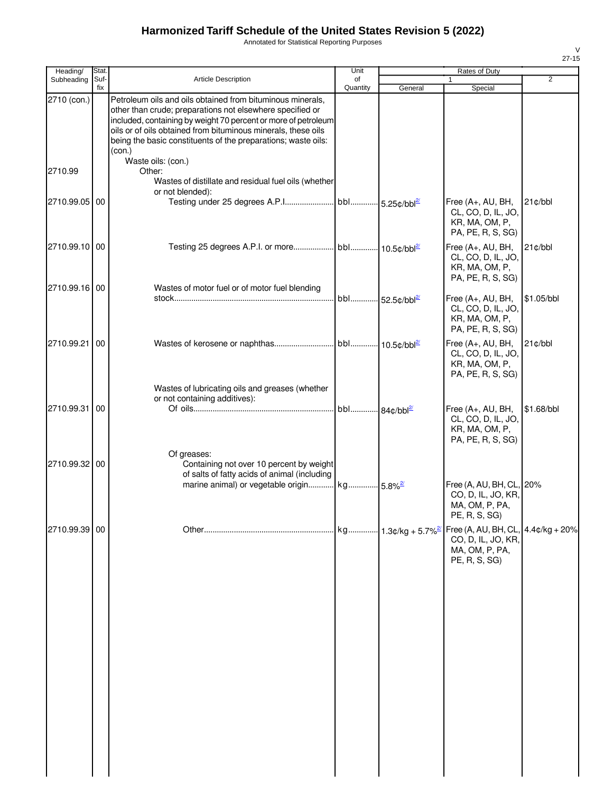Annotated for Statistical Reporting Purposes

| Heading/      | Stat.       |                                                                                                                                                                                                                                                                                                                                       | Unit<br>Rates of Duty |         |                                                                                                                |            |
|---------------|-------------|---------------------------------------------------------------------------------------------------------------------------------------------------------------------------------------------------------------------------------------------------------------------------------------------------------------------------------------|-----------------------|---------|----------------------------------------------------------------------------------------------------------------|------------|
| Subheading    | Suf-<br>fix | <b>Article Description</b>                                                                                                                                                                                                                                                                                                            | of<br>Quantity        | General | 1<br>Special                                                                                                   | 2          |
| 2710 (con.)   |             | Petroleum oils and oils obtained from bituminous minerals,<br>other than crude; preparations not elsewhere specified or<br>included, containing by weight 70 percent or more of petroleum<br>oils or of oils obtained from bituminous minerals, these oils<br>being the basic constituents of the preparations; waste oils:<br>(con.) |                       |         |                                                                                                                |            |
| 2710.99       |             | Waste oils: (con.)<br>Other:<br>Wastes of distillate and residual fuel oils (whether<br>or not blended):                                                                                                                                                                                                                              |                       |         |                                                                                                                |            |
| 2710.99.05 00 |             |                                                                                                                                                                                                                                                                                                                                       |                       |         | Free (A+, AU, BH,<br>CL, CO, D, IL, JO,<br>KR, MA, OM, P,<br>PA, PE, R, S, SG)                                 | $21$ ¢/bbl |
| 2710.99.10 00 |             |                                                                                                                                                                                                                                                                                                                                       |                       |         | Free (A+, AU, BH,<br>CL, CO, D, IL, JO,<br>KR, MA, OM, P,<br>PA, PE, R, S, SG)                                 | 21¢/bbl    |
| 2710.99.16 00 |             | Wastes of motor fuel or of motor fuel blending                                                                                                                                                                                                                                                                                        |                       |         | Free (A+, AU, BH,<br>CL, CO, D, IL, JO,<br>KR, MA, OM, P,<br>PA, PE, R, S, SG)                                 | \$1.05/bbl |
| 2710.99.21 00 |             |                                                                                                                                                                                                                                                                                                                                       |                       |         | Free (A+, AU, BH,<br>CL, CO, D, IL, JO,<br>KR, MA, OM, P,<br>PA, PE, R, S, SG)                                 | $21$ ¢/bbl |
| 2710.99.31 00 |             | Wastes of lubricating oils and greases (whether<br>or not containing additives):                                                                                                                                                                                                                                                      |                       |         | Free $(A+, AU, BH,$<br>CL, CO, D, IL, JO,<br>KR, MA, OM, P,<br>PA, PE, R, S, SG)                               | \$1.68/bbl |
| 2710.99.32 00 |             | Of greases:<br>Containing not over 10 percent by weight<br>of salts of fatty acids of animal (including<br>marine animal) or vegetable origin kg 5.8% <sup>2/</sup>                                                                                                                                                                   |                       |         | Free (A, AU, BH, CL, 20%<br>CO, D, IL, JO, KR,<br>MA, OM, P, PA,                                               |            |
| 2710.99.39 00 |             |                                                                                                                                                                                                                                                                                                                                       |                       |         | PE, R, S, SG)<br>Free (A, AU, BH, CL, $4.4¢/kg + 20%$<br>CO, D, IL, JO, KR,<br>MA, OM, P, PA,<br>PE, R, S, SG) |            |
|               |             |                                                                                                                                                                                                                                                                                                                                       |                       |         |                                                                                                                |            |
|               |             |                                                                                                                                                                                                                                                                                                                                       |                       |         |                                                                                                                |            |
|               |             |                                                                                                                                                                                                                                                                                                                                       |                       |         |                                                                                                                |            |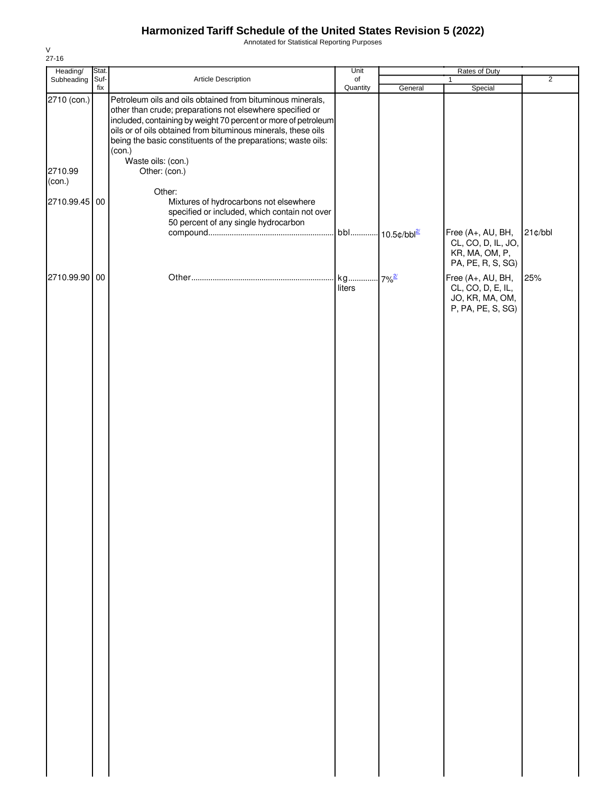Annotated for Statistical Reporting Purposes

| Heading/                                       | Stat. |                                                                                                                                                                                                                                                                                                                                                                                                                                  | Unit           | Rates of Duty                   |                                                                                |                |
|------------------------------------------------|-------|----------------------------------------------------------------------------------------------------------------------------------------------------------------------------------------------------------------------------------------------------------------------------------------------------------------------------------------------------------------------------------------------------------------------------------|----------------|---------------------------------|--------------------------------------------------------------------------------|----------------|
| Subheading Suf-                                | fix   | Article Description                                                                                                                                                                                                                                                                                                                                                                                                              | of<br>Quantity | General                         | $\mathbf{1}$<br>Special                                                        | $\overline{2}$ |
| 2710 (con.)<br>2710.99<br>(con.)<br>2710.99.45 | 00    | Petroleum oils and oils obtained from bituminous minerals,<br>other than crude; preparations not elsewhere specified or<br>included, containing by weight 70 percent or more of petroleum<br>oils or of oils obtained from bituminous minerals, these oils<br>being the basic constituents of the preparations; waste oils:<br>(con.)<br>Waste oils: (con.)<br>Other: (con.)<br>Other:<br>Mixtures of hydrocarbons not elsewhere |                |                                 |                                                                                |                |
|                                                |       | specified or included, which contain not over<br>50 percent of any single hydrocarbon                                                                                                                                                                                                                                                                                                                                            |                | $\cdot$ 10.5¢/bbl $\frac{2}{3}$ | Free (A+, AU, BH,<br>CL, CO, D, IL, JO,<br>KR, MA, OM, P,<br>PA, PE, R, S, SG) | 21¢/bbl        |
| 2710.99.90 00                                  |       |                                                                                                                                                                                                                                                                                                                                                                                                                                  | kg<br>liters   | $.7\%$ <sup>2/</sup>            | Free (A+, AU, BH,<br>CL, CO, D, E, IL,<br>JO, KR, MA, OM,<br>P, PA, PE, S, SG) | 25%            |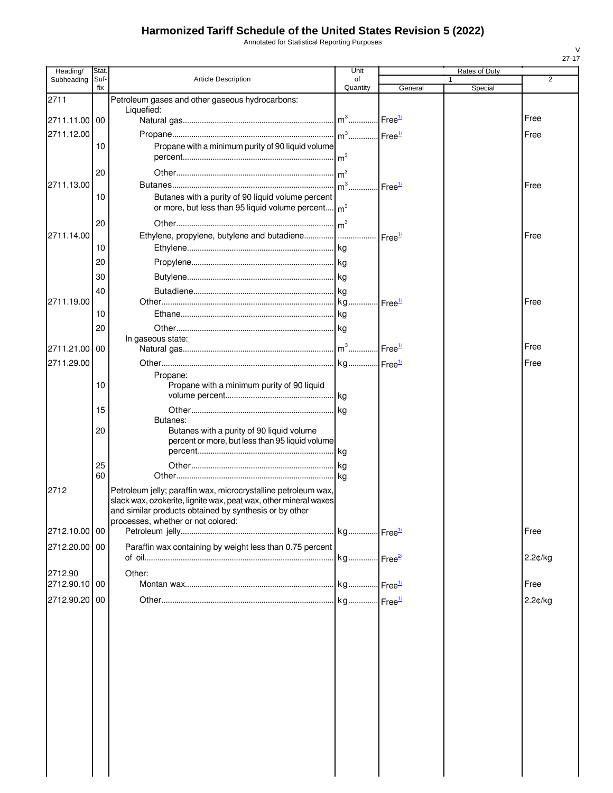Annotated for Statistical Reporting Purposes

| Heading/      | Stat.       |                                                                                              | Unit                  |                    | Rates of Duty |            |  |
|---------------|-------------|----------------------------------------------------------------------------------------------|-----------------------|--------------------|---------------|------------|--|
| Subheading    | Suf-<br>fix | <b>Article Description</b>                                                                   | οf<br>Quantity        | General            | 1<br>Special  | 2          |  |
| 2711          |             | Petroleum gases and other gaseous hydrocarbons:                                              |                       |                    |               |            |  |
| 2711.11.00 00 |             | Liquefied:                                                                                   |                       |                    |               | Free       |  |
|               |             |                                                                                              |                       |                    |               |            |  |
| 2711.12.00    | 10          | Propane with a minimum purity of 90 liquid volume                                            |                       |                    |               | Free       |  |
|               |             |                                                                                              |                       |                    |               |            |  |
|               | 20          |                                                                                              | $\mathsf{Im}^3$       |                    |               |            |  |
| 2711.13.00    |             |                                                                                              | $m3$ .                | Free <sup>1/</sup> |               | Free       |  |
|               | 10          | Butanes with a purity of 90 liquid volume percent                                            |                       |                    |               |            |  |
|               |             | or more, but less than 95 liquid volume percent                                              | m <sup>3</sup>        |                    |               |            |  |
|               | 20          |                                                                                              |                       |                    |               |            |  |
| 2711.14.00    |             | Ethylene, propylene, butylene and butadiene   Free <sup>1/</sup>                             |                       |                    |               | Free       |  |
|               | 10          |                                                                                              |                       |                    |               |            |  |
|               | 20          |                                                                                              |                       |                    |               |            |  |
|               | 30          |                                                                                              |                       |                    |               |            |  |
|               | 40          |                                                                                              |                       |                    |               |            |  |
| 2711.19.00    |             |                                                                                              |                       |                    |               | Free       |  |
|               | 10          |                                                                                              |                       |                    |               |            |  |
|               | 20          |                                                                                              |                       |                    |               |            |  |
|               |             | In gaseous state:                                                                            |                       |                    |               | Free       |  |
| 2711.21.00 00 |             |                                                                                              |                       |                    |               |            |  |
| 2711.29.00    |             | Propane:                                                                                     |                       |                    |               | Free       |  |
|               | 10          | Propane with a minimum purity of 90 liquid                                                   |                       |                    |               |            |  |
|               |             |                                                                                              |                       |                    |               |            |  |
|               | 15          |                                                                                              |                       |                    |               |            |  |
|               |             | Butanes:                                                                                     |                       |                    |               |            |  |
|               | 20          | Butanes with a purity of 90 liquid volume<br>percent or more, but less than 95 liquid volume |                       |                    |               |            |  |
|               |             |                                                                                              |                       |                    |               |            |  |
|               | 25          |                                                                                              |                       |                    |               |            |  |
|               | 60          |                                                                                              |                       |                    |               |            |  |
| 2712          |             | Petroleum jelly; paraffin wax, microcrystalline petroleum wax,                               |                       |                    |               |            |  |
|               |             | slack wax, ozokerite, lignite wax, peat wax, other mineral waxes                             |                       |                    |               |            |  |
|               |             | and similar products obtained by synthesis or by other<br>processes, whether or not colored: |                       |                    |               |            |  |
| 2712.10.00 00 |             |                                                                                              |                       |                    |               | Free       |  |
| 2712.20.00 00 |             | Paraffin wax containing by weight less than 0.75 percent                                     |                       |                    |               |            |  |
|               |             |                                                                                              | kg Free <sup>2/</sup> |                    |               | 2.2¢/kg    |  |
| 2712.90       |             | Other:                                                                                       |                       |                    |               |            |  |
| 2712.90.10 00 |             |                                                                                              |                       |                    |               | Free       |  |
| 2712.90.20 00 |             |                                                                                              |                       |                    |               | $2.2$ ¢/kg |  |
|               |             |                                                                                              |                       |                    |               |            |  |
|               |             |                                                                                              |                       |                    |               |            |  |
|               |             |                                                                                              |                       |                    |               |            |  |
|               |             |                                                                                              |                       |                    |               |            |  |
|               |             |                                                                                              |                       |                    |               |            |  |
|               |             |                                                                                              |                       |                    |               |            |  |
|               |             |                                                                                              |                       |                    |               |            |  |
|               |             |                                                                                              |                       |                    |               |            |  |
|               |             |                                                                                              |                       |                    |               |            |  |
|               |             |                                                                                              |                       |                    |               |            |  |
|               |             |                                                                                              |                       |                    |               |            |  |
|               |             |                                                                                              |                       |                    |               |            |  |
|               |             |                                                                                              |                       |                    |               |            |  |

27-17

V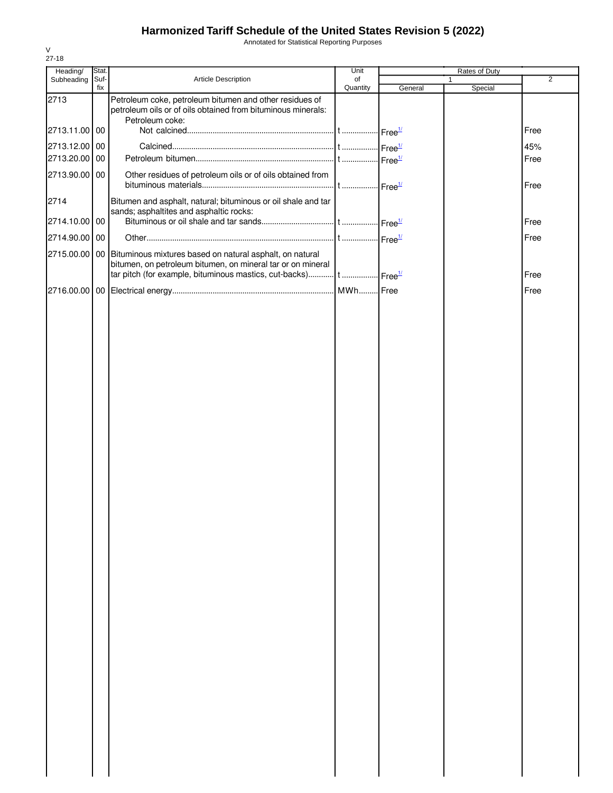Annotated for Statistical Reporting Purposes

| Heading/      | Stat.       |                                                                                                                                                                                                                      | Unit           | Rates of Duty |              |                |
|---------------|-------------|----------------------------------------------------------------------------------------------------------------------------------------------------------------------------------------------------------------------|----------------|---------------|--------------|----------------|
| Subheading    | Suf-<br>fix | Article Description                                                                                                                                                                                                  | of<br>Quantity | General       | 1<br>Special | $\overline{2}$ |
| 2713          |             | Petroleum coke, petroleum bitumen and other residues of<br>petroleum oils or of oils obtained from bituminous minerals:                                                                                              |                |               |              |                |
| 2713.11.00 00 |             | Petroleum coke:                                                                                                                                                                                                      |                |               |              | Free           |
| 2713.12.00 00 |             |                                                                                                                                                                                                                      |                |               |              | 45%            |
| 2713.20.00 00 |             |                                                                                                                                                                                                                      |                |               |              | Free           |
| 2713.90.00 00 |             | Other residues of petroleum oils or of oils obtained from                                                                                                                                                            |                |               |              | Free           |
| 2714          |             | Bitumen and asphalt, natural; bituminous or oil shale and tar<br>sands; asphaltites and asphaltic rocks:                                                                                                             |                |               |              |                |
| 2714.10.00 00 |             |                                                                                                                                                                                                                      |                |               |              | Free           |
| 2714.90.00 00 |             |                                                                                                                                                                                                                      |                |               |              | Free           |
|               |             | 2715.00.00 00 Bituminous mixtures based on natural asphalt, on natural<br>bitumen, on petroleum bitumen, on mineral tar or on mineral<br>tar pitch (for example, bituminous mastics, cut-backs) t Free <sup>1/</sup> |                |               |              | Free           |
|               |             |                                                                                                                                                                                                                      |                |               |              | Free           |
|               |             |                                                                                                                                                                                                                      |                |               |              |                |
|               |             |                                                                                                                                                                                                                      |                |               |              |                |